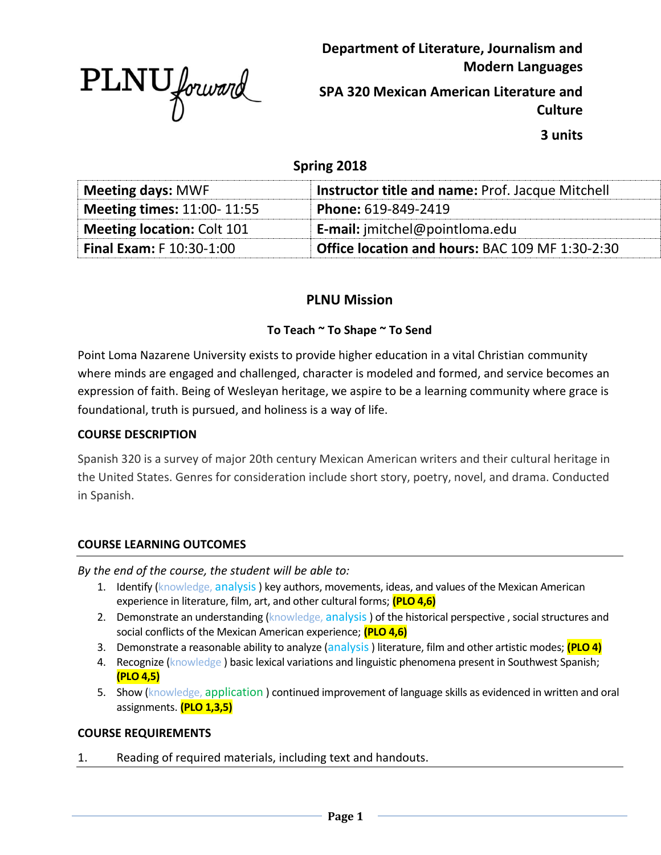

**Department of Literature, Journalism and Modern Languages**

**SPA 320 Mexican American Literature and Culture**

**3 units**

# **Spring 2018**

| <b>Meeting days: MWF</b>          | <b>Instructor title and name: Prof. Jacque Mitchell</b> |
|-----------------------------------|---------------------------------------------------------|
| <b>Meeting times: 11:00-11:55</b> | Phone: 619-849-2419                                     |
| <b>Meeting location: Colt 101</b> | <b>E-mail:</b> jmitchel@pointloma.edu                   |
| <b>Final Exam: F 10:30-1:00</b>   | Office location and hours: BAC 109 MF 1:30-2:30         |

# **PLNU Mission**

### **To Teach ~ To Shape ~ To Send**

Point Loma Nazarene University exists to provide higher education in a vital Christian community where minds are engaged and challenged, character is modeled and formed, and service becomes an expression of faith. Being of Wesleyan heritage, we aspire to be a learning community where grace is foundational, truth is pursued, and holiness is a way of life.

### **COURSE DESCRIPTION**

Spanish 320 is a survey of major 20th century Mexican American writers and their cultural heritage in the United States. Genres for consideration include short story, poetry, novel, and drama. Conducted in Spanish.

### **COURSE LEARNING OUTCOMES**

*By the end of the course, the student will be able to:*

- 1. Identify (knowledge, analysis) key authors, movements, ideas, and values of the Mexican American experience in literature, film, art, and other cultural forms; **(PLO 4,6)**
- 2. Demonstrate an understanding (knowledge, analysis) of the historical perspective, social structures and social conflicts of the Mexican American experience; **(PLO 4,6)**
- 3. Demonstrate a reasonable ability to analyze (analysis ) literature, film and other artistic modes; **(PLO 4)**
- 4. Recognize (knowledge) basic lexical variations and linguistic phenomena present in Southwest Spanish; **(PLO 4,5)**
- 5. Show (knowledge, application ) continued improvement of language skills as evidenced in written and oral assignments. **(PLO 1,3,5)**

### **COURSE REQUIREMENTS**

1. Reading of required materials, including text and handouts.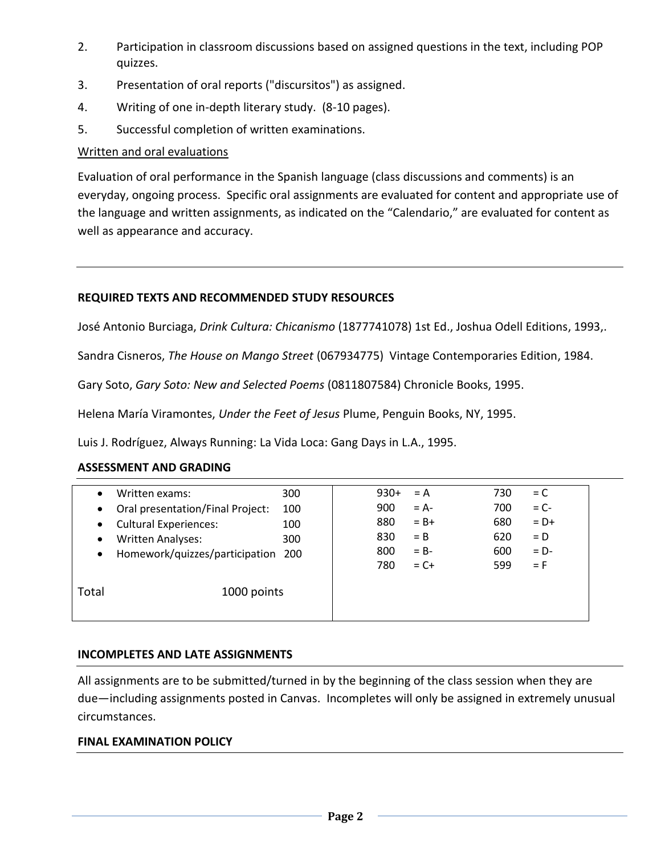- 2. Participation in classroom discussions based on assigned questions in the text, including POP quizzes.
- 3. Presentation of oral reports ("discursitos") as assigned.
- 4. Writing of one in-depth literary study. (8-10 pages).
- 5. Successful completion of written examinations.

### Written and oral evaluations

Evaluation of oral performance in the Spanish language (class discussions and comments) is an everyday, ongoing process. Specific oral assignments are evaluated for content and appropriate use of the language and written assignments, as indicated on the "Calendario," are evaluated for content as well as appearance and accuracy.

### **REQUIRED TEXTS AND RECOMMENDED STUDY RESOURCES**

José Antonio Burciaga, *Drink Cultura: Chicanismo* (1877741078) 1st Ed., Joshua Odell Editions, 1993,.

Sandra Cisneros, *The House on Mango Street* (067934775) Vintage Contemporaries Edition, 1984.

Gary Soto, *Gary Soto: New and Selected Poems* (0811807584) Chronicle Books, 1995.

Helena María Viramontes, *Under the Feet of Jesus* Plume, Penguin Books, NY, 1995.

Luis J. Rodríguez, Always Running: La Vida Loca: Gang Days in L.A., 1995.

### **ASSESSMENT AND GRADING**

| $\bullet$<br>$\bullet$<br>$\bullet$<br>$\bullet$ | Written exams:<br>Oral presentation/Final Project:<br><b>Cultural Experiences:</b><br><b>Written Analyses:</b><br>Homework/quizzes/participation 200 | 300<br>100<br>100<br>300 | 900<br>880<br>830<br>800<br>780 | $930+$ | $= A$<br>$= A -$<br>$= B +$<br>$=$ B<br>$= B -$<br>$= C +$ | 730<br>700<br>680<br>620<br>600<br>599 | $= C$<br>$= C -$<br>$= D+$<br>$= D$<br>$= D -$<br>$=$ F |
|--------------------------------------------------|------------------------------------------------------------------------------------------------------------------------------------------------------|--------------------------|---------------------------------|--------|------------------------------------------------------------|----------------------------------------|---------------------------------------------------------|
| Total                                            | 1000 points                                                                                                                                          |                          |                                 |        |                                                            |                                        |                                                         |

### **INCOMPLETES AND LATE ASSIGNMENTS**

All assignments are to be submitted/turned in by the beginning of the class session when they are due—including assignments posted in Canvas. Incompletes will only be assigned in extremely unusual circumstances.

### **FINAL EXAMINATION POLICY**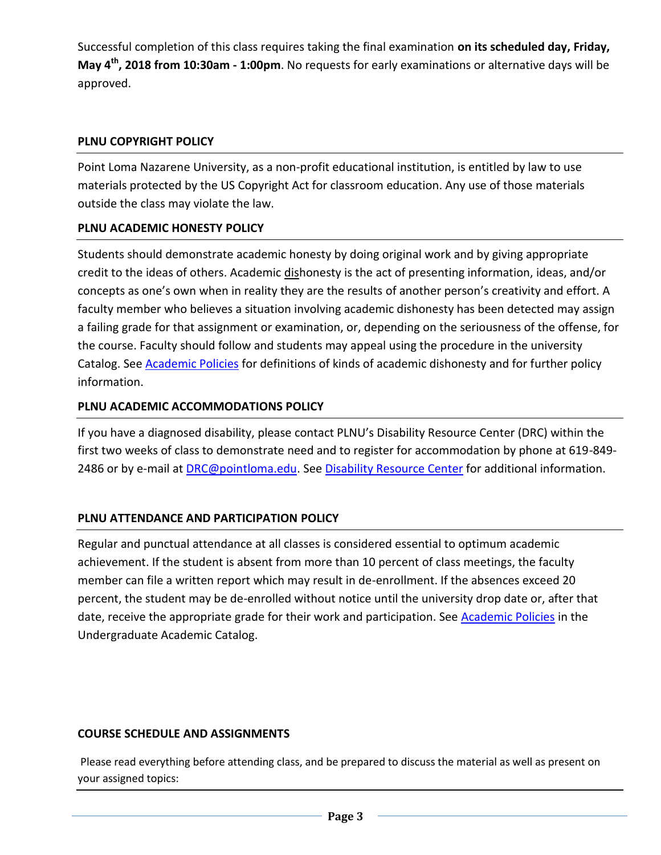Successful completion of this class requires taking the final examination **on its scheduled day, Friday, May 4th, 2018 from 10:30am - 1:00pm**. No requests for early examinations or alternative days will be approved.

## **PLNU COPYRIGHT POLICY**

Point Loma Nazarene University, as a non-profit educational institution, is entitled by law to use materials protected by the US Copyright Act for classroom education. Any use of those materials outside the class may violate the law.

# **PLNU ACADEMIC HONESTY POLICY**

Students should demonstrate academic honesty by doing original work and by giving appropriate credit to the ideas of others. Academic dishonesty is the act of presenting information, ideas, and/or concepts as one's own when in reality they are the results of another person's creativity and effort. A faculty member who believes a situation involving academic dishonesty has been detected may assign a failing grade for that assignment or examination, or, depending on the seriousness of the offense, for the course. Faculty should follow and students may appeal using the procedure in the university Catalog. See **Academic Policies** for definitions of kinds of academic dishonesty and for further policy information.

# **PLNU ACADEMIC ACCOMMODATIONS POLICY**

If you have a diagnosed disability, please contact PLNU's Disability Resource Center (DRC) within the first two weeks of class to demonstrate need and to register for accommodation by phone at 619-849- 2486 or by e-mail at [DRC@pointloma.edu.](mailto:DRC@pointloma.edu) See [Disability Resource Center](http://www.pointloma.edu/experience/offices/administrative-offices/academic-advising-office/disability-resource-center) for additional information.

# **PLNU ATTENDANCE AND PARTICIPATION POLICY**

Regular and punctual attendance at all classes is considered essential to optimum academic achievement. If the student is absent from more than 10 percent of class meetings, the faculty member can file a written report which may result in de-enrollment. If the absences exceed 20 percent, the student may be de-enrolled without notice until the university drop date or, after that date, receive the appropriate grade for their work and participation. See **Academic Policies** in the Undergraduate Academic Catalog.

### **COURSE SCHEDULE AND ASSIGNMENTS**

Please read everything before attending class, and be prepared to discuss the material as well as present on your assigned topics: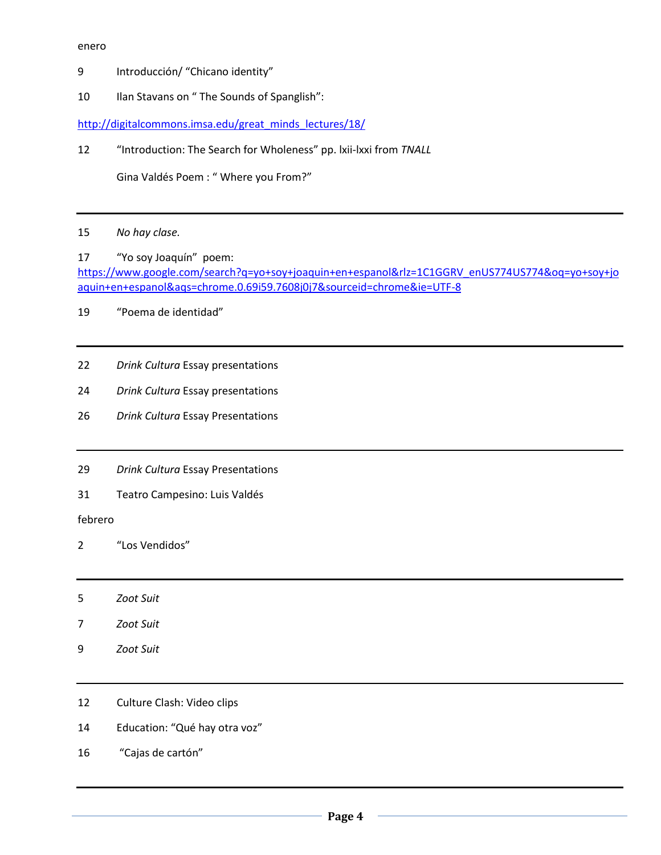#### enero

- Introducción/ "Chicano identity"
- 10 Ilan Stavans on " The Sounds of Spanglish":

[http://digitalcommons.imsa.edu/great\\_minds\\_lectures/18/](http://digitalcommons.imsa.edu/great_minds_lectures/18/)

"Introduction: The Search for Wholeness" pp. lxii-lxxi from *TNALL*

Gina Valdés Poem : " Where you From?"

- *No hay clase.*
- "Yo soy Joaquín" poem: [https://www.google.com/search?q=yo+soy+joaquin+en+espanol&rlz=1C1GGRV\\_enUS774US774&oq=yo+soy+jo](https://www.google.com/search?q=yo+soy+joaquin+en+espanol&rlz=1C1GGRV_enUS774US774&oq=yo+soy+joaquin+en+espanol&aqs=chrome.0.69i59.7608j0j7&sourceid=chrome&ie=UTF-8) [aquin+en+espanol&aqs=chrome.0.69i59.7608j0j7&sourceid=chrome&ie=UTF-8](https://www.google.com/search?q=yo+soy+joaquin+en+espanol&rlz=1C1GGRV_enUS774US774&oq=yo+soy+joaquin+en+espanol&aqs=chrome.0.69i59.7608j0j7&sourceid=chrome&ie=UTF-8)

"Poema de identidad"

- *Drink Cultura* Essay presentations
- *Drink Cultura* Essay presentations
- *Drink Cultura* Essay Presentations
- *Drink Cultura* Essay Presentations
- Teatro Campesino: Luis Valdés

febrero

- "Los Vendidos"
- *Zoot Suit*
- *Zoot Suit*
- *Zoot Suit*
- 12 Culture Clash: Video clips
- Education: "Qué hay otra voz"
- "Cajas de cartón"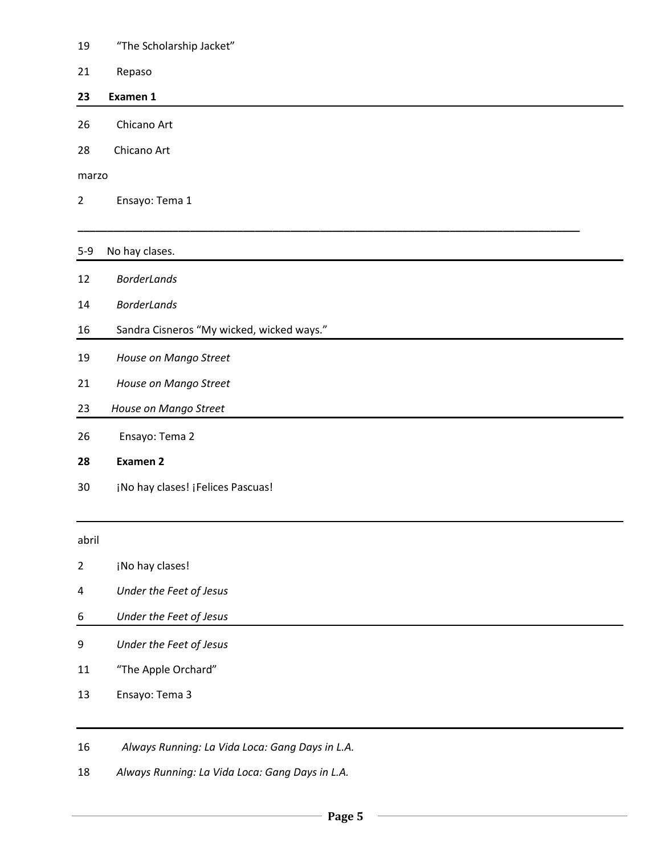- "The Scholarship Jacket"
- Repaso

#### **23 Examen 1**

- Chicano Art
- 28 Chicano Art

marzo

Ensayo: Tema 1

#### 5-9 No hay clases.

- *BorderLands*
- *BorderLands*
- Sandra Cisneros "My wicked, wicked ways."
- *House on Mango Street*
- *House on Mango Street*
- *House on Mango Street*
- Ensayo: Tema 2
- **Examen 2**
- 30 ¡No hay clases! ¡Felices Pascuas!

abril

- **indulary clases!**
- *Under the Feet of Jesus*
- *Under the Feet of Jesus*
- *Under the Feet of Jesus*
- "The Apple Orchard"
- Ensayo: Tema 3
- *Always Running: La Vida Loca: Gang Days in L.A.*
- *Always Running: La Vida Loca: Gang Days in L.A.*

**\_\_\_\_\_\_\_\_\_\_\_\_\_\_\_\_\_\_\_\_\_\_\_\_\_\_\_\_\_\_\_\_\_\_\_\_\_\_\_\_\_\_\_\_\_\_\_\_\_\_\_\_\_\_\_\_\_\_\_\_\_\_\_\_\_\_\_\_\_\_\_\_\_\_\_\_\_\_\_\_\_\_\_\_\_**